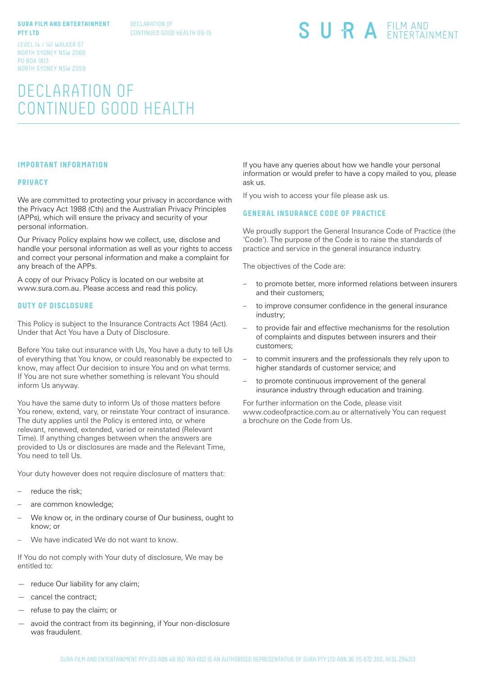## **SURA FILM AND ENTERTAINMENT PTY LTD**

DECLARATION OF CONTINUED GOOD HEALTH 09-15 SURA EILM AND

LEVEL 14 / 141 WALKER ST NORTH SYDNEY NSW 2060 PO BOX 1813 NORTH SYDNEY NSW 2059

# DECLARATION OF CONTINUED GOOD HEALTH

# **IMPORTANT INFORMATION**

#### **PRIVACY**

We are committed to protecting your privacy in accordance with the Privacy Act 1988 (Cth) and the Australian Privacy Principles (APPs), which will ensure the privacy and security of your personal information.

Our Privacy Policy explains how we collect, use, disclose and handle your personal information as well as your rights to access and correct your personal information and make a complaint for any breach of the APPs.

A copy of our Privacy Policy is located on our website at www.sura.com.au. Please access and read this policy.

#### **DUTY OF DISCLOSURE**

This Policy is subject to the Insurance Contracts Act 1984 (Act). Under that Act You have a Duty of Disclosure.

Before You take out insurance with Us, You have a duty to tell Us of everything that You know, or could reasonably be expected to know, may affect Our decision to insure You and on what terms. If You are not sure whether something is relevant You should inform Us anyway.

You have the same duty to inform Us of those matters before You renew, extend, vary, or reinstate Your contract of insurance. The duty applies until the Policy is entered into, or where relevant, renewed, extended, varied or reinstated (Relevant Time). If anything changes between when the answers are provided to Us or disclosures are made and the Relevant Time, You need to tell Us.

Your duty however does not require disclosure of matters that:

- reduce the risk;
- are common knowledge;
- We know or, in the ordinary course of Our business, ought to know; or
- We have indicated We do not want to know.

If You do not comply with Your duty of disclosure, We may be entitled to:

- reduce Our liability for any claim;
- cancel the contract;
- refuse to pay the claim; or
- avoid the contract from its beginning, if Your non-disclosure was fraudulent.

If you have any queries about how we handle your personal information or would prefer to have a copy mailed to you, please ask us.

If you wish to access your file please ask us.

## **GENERAL INSURANCE CODE OF PRACTICE**

We proudly support the General Insurance Code of Practice (the 'Code'). The purpose of the Code is to raise the standards of practice and service in the general insurance industry.

The objectives of the Code are:

- to promote better, more informed relations between insurers and their customers;
- to improve consumer confidence in the general insurance industry;
- to provide fair and effective mechanisms for the resolution of complaints and disputes between insurers and their customers;
- to commit insurers and the professionals they rely upon to higher standards of customer service; and
- to promote continuous improvement of the general insurance industry through education and training.

For further information on the Code, please visit www.codeofpractice.com.au or alternatively You can request a brochure on the Code from Us.